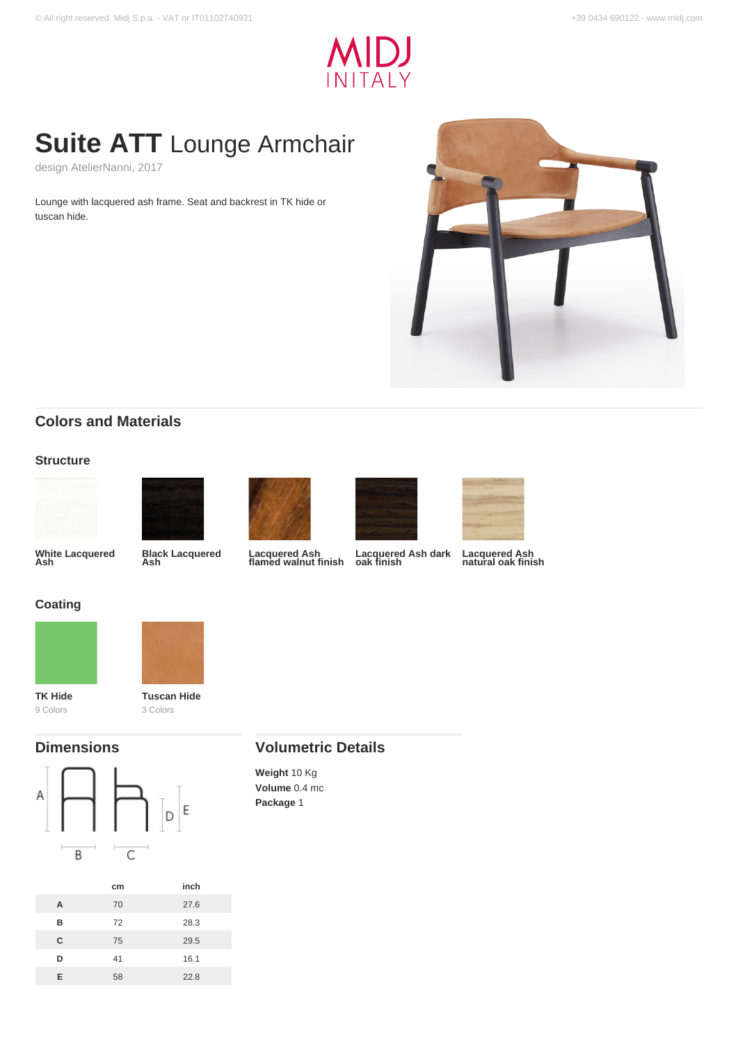

# **Suite ATT** Lounge Armchair

design AtelierNanni, 2017

Lounge with lacquered ash frame. Seat and backrest in TK hide or tuscan hide.



## **Colors and Materials**

#### **Structure**





**Black Lacquered Ash**





**Lacquered Ash flamed walnut finish**



**Lacquered Ash natural oak finish**

## **Coating**

**White Lacquered Ash**





**TK Hide** 9 Colors



### **Dimensions**





## **Volumetric Details**

**Weight** 10 Kg **Volume** 0.4 mc **Package** 1